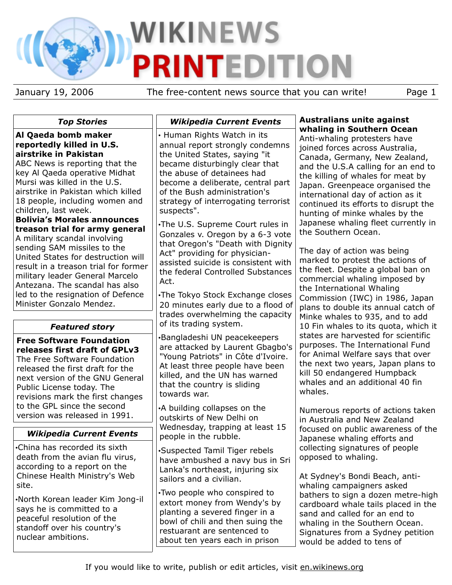# WIKINEWS **PRINTEDITION**

January 19, 2006 The free-content news source that you can write! Page 1

## *Top Stories*

#### **Al Qaeda bomb maker reportedly killed in U.S. airstrike in Pakistan**

ABC News is reporting that the key Al Qaeda operative Midhat Mursi was killed in the U.S. airstrike in Pakistan which killed 18 people, including women and children, last week.

**Bolivia's Morales announces treason trial for army general** A military scandal involving sending SAM missiles to the United States for destruction will result in a treason trial for former military leader General Marcelo Antezana. The scandal has also

led to the resignation of Defence Minister Gonzalo Mendez.

# *Featured story*

**Free Software Foundation releases first draft of GPLv3** The Free Software Foundation released the first draft for the next version of the GNU General Public License today. The revisions mark the first changes to the GPL since the second version was released in 1991.

# *Wikipedia Current Events*

•China has recorded its sixth death from the avian flu virus, according to a report on the Chinese Health Ministry's Web site.

•North Korean leader Kim Jong-il says he is committed to a peaceful resolution of the standoff over his country's nuclear ambitions.

## *Wikipedia Current Events*

• Human Rights Watch in its annual report strongly condemns the United States, saying "it became disturbingly clear that the abuse of detainees had become a deliberate, central part of the Bush administration's strategy of interrogating terrorist suspects".

•The U.S. Supreme Court rules in Gonzales v. Oregon by a 6-3 vote that Oregon's "Death with Dignity Act" providing for physicianassisted suicide is consistent with the federal Controlled Substances Act.

•The Tokyo Stock Exchange closes 20 minutes early due to a flood of trades overwhelming the capacity of its trading system.

•Bangladeshi UN peacekeepers are attacked by Laurent Gbagbo's "Young Patriots" in Côte d'Ivoire. At least three people have been killed, and the UN has warned that the country is sliding towards war.

•A building collapses on the outskirts of New Delhi on Wednesday, trapping at least 15 people in the rubble.

•Suspected Tamil Tiger rebels have ambushed a navy bus in Sri Lanka's northeast, injuring six sailors and a civilian.

•Two people who conspired to extort money from Wendy's by planting a severed finger in a bowl of chili and then suing the restuarant are sentenced to about ten years each in prison

## **Australians unite against whaling in Southern Ocean**

Anti-whaling protesters have joined forces across Australia, Canada, Germany, New Zealand, and the U.S.A calling for an end to the killing of whales for meat by Japan. Greenpeace organised the international day of action as it continued its efforts to disrupt the hunting of minke whales by the Japanese whaling fleet currently in the Southern Ocean.

The day of action was being marked to protest the actions of the fleet. Despite a global ban on commercial whaling imposed by the International Whaling Commission (IWC) in 1986, Japan plans to double its annual catch of Minke whales to 935, and to add 10 Fin whales to its quota, which it states are harvested for scientific purposes. The International Fund for Animal Welfare says that over the next two years, Japan plans to kill 50 endangered Humpback whales and an additional 40 fin whales.

Numerous reports of actions taken in Australia and New Zealand focused on public awareness of the Japanese whaling efforts and collecting signatures of people opposed to whaling.

At Sydney's Bondi Beach, antiwhaling campaigners asked bathers to sign a dozen metre-high cardboard whale tails placed in the sand and called for an end to whaling in the Southern Ocean. Signatures from a Sydney petition would be added to tens of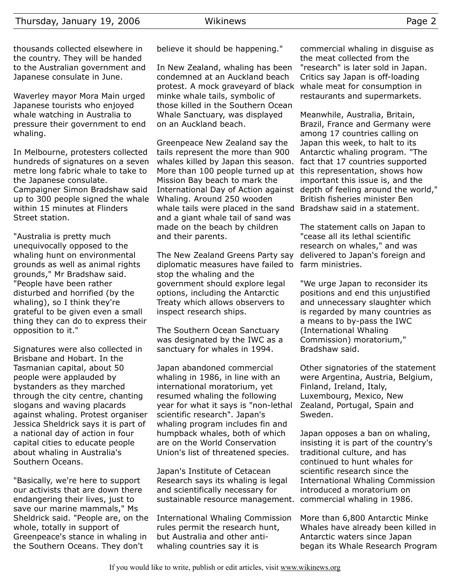thousands collected elsewhere in the country. They will be handed to the Australian government and Japanese consulate in June.

Waverley mayor Mora Main urged Japanese tourists who enjoyed whale watching in Australia to pressure their government to end whaling.

In Melbourne, protesters collected hundreds of signatures on a seven metre long fabric whale to take to the Japanese consulate. Campaigner Simon Bradshaw said up to 300 people signed the whale within 15 minutes at Flinders Street station.

"Australia is pretty much unequivocally opposed to the whaling hunt on environmental grounds as well as animal rights grounds," Mr Bradshaw said. "People have been rather disturbed and horrified (by the whaling), so I think they're grateful to be given even a small thing they can do to express their opposition to it."

Signatures were also collected in Brisbane and Hobart. In the Tasmanian capital, about 50 people were applauded by bystanders as they marched through the city centre, chanting slogans and waving placards against whaling. Protest organiser Jessica Sheldrick says it is part of a national day of action in four capital cities to educate people about whaling in Australia's Southern Oceans.

"Basically, we're here to support our activists that are down there endangering their lives, just to save our marine mammals," Ms Sheldrick said. "People are, on the whole, totally in support of Greenpeace's stance in whaling in the Southern Oceans. They don't

believe it should be happening."

In New Zealand, whaling has been condemned at an Auckland beach protest. A mock graveyard of black minke whale tails, symbolic of those killed in the Southern Ocean Whale Sanctuary, was displayed on an Auckland beach.

Greenpeace New Zealand say the tails represent the more than 900 whales killed by Japan this season. More than 100 people turned up at this representation, shows how Mission Bay beach to mark the International Day of Action against depth of feeling around the world," Whaling. Around 250 wooden whale tails were placed in the sand Bradshaw said in a statement. and a giant whale tail of sand was made on the beach by children and their parents.

The New Zealand Greens Party say diplomatic measures have failed to farm ministries. stop the whaling and the government should explore legal options, including the Antarctic Treaty which allows observers to inspect research ships.

The Southern Ocean Sanctuary was designated by the IWC as a sanctuary for whales in 1994.

Japan abandoned commercial whaling in 1986, in line with an international moratorium, yet resumed whaling the following year for what it says is "non-lethal scientific research". Japan's whaling program includes fin and humpback whales, both of which are on the World Conservation Union's list of threatened species.

Japan's Institute of Cetacean Research says its whaling is legal and scientifically necessary for sustainable resource management. commercial whaling in 1986.

International Whaling Commission rules permit the research hunt, but Australia and other antiwhaling countries say it is

commercial whaling in disguise as the meat collected from the "research" is later sold in Japan. Critics say Japan is off-loading whale meat for consumption in restaurants and supermarkets.

Meanwhile, Australia, Britain, Brazil, France and Germany were among 17 countries calling on Japan this week, to halt to its Antarctic whaling program. "The fact that 17 countries supported important this issue is, and the British fisheries minister Ben

The statement calls on Japan to "cease all its lethal scientific research on whales," and was delivered to Japan's foreign and

"We urge Japan to reconsider its positions and end this unjustified and unnecessary slaughter which is regarded by many countries as a means to by-pass the IWC (International Whaling Commission) moratorium," Bradshaw said.

Other signatories of the statement were Argentina, Austria, Belgium, Finland, Ireland, Italy, Luxembourg, Mexico, New Zealand, Portugal, Spain and Sweden.

Japan opposes a ban on whaling, insisting it is part of the country's traditional culture, and has continued to hunt whales for scientific research since the International Whaling Commission introduced a moratorium on

More than 6,800 Antarctic Minke Whales have already been killed in Antarctic waters since Japan began its Whale Research Program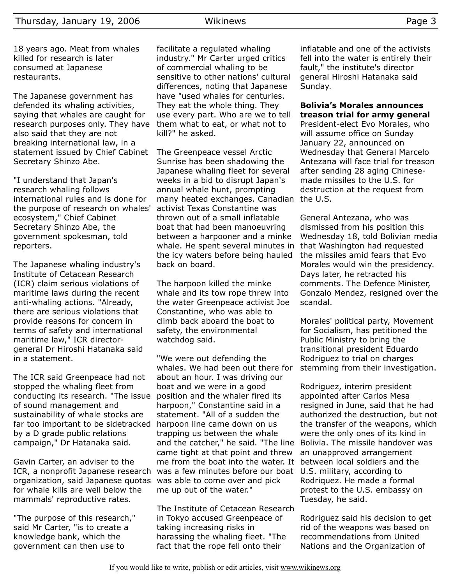18 years ago. Meat from whales killed for research is later consumed at Japanese restaurants.

The Japanese government has defended its whaling activities, saying that whales are caught for research purposes only. They have also said that they are not breaking international law, in a statement issued by Chief Cabinet Secretary Shinzo Abe.

"I understand that Japan's research whaling follows international rules and is done for the purpose of research on whales' ecosystem," Chief Cabinet Secretary Shinzo Abe, the government spokesman, told reporters.

The Japanese whaling industry's Institute of Cetacean Research (ICR) claim serious violations of maritime laws during the recent anti-whaling actions. "Already, there are serious violations that provide reasons for concern in terms of safety and international maritime law," ICR directorgeneral Dr Hiroshi Hatanaka said in a statement.

The ICR said Greenpeace had not stopped the whaling fleet from conducting its research. "The issue of sound management and sustainability of whale stocks are far too important to be sidetracked harpoon line came down on us by a D grade public relations campaign," Dr Hatanaka said.

Gavin Carter, an adviser to the ICR, a nonprofit Japanese research was a few minutes before our boat organization, said Japanese quotas for whale kills are well below the mammals' reproductive rates.

"The purpose of this research," said Mr Carter, "is to create a knowledge bank, which the government can then use to

facilitate a regulated whaling industry." Mr Carter urged critics of commercial whaling to be sensitive to other nations' cultural differences, noting that Japanese have "used whales for centuries. They eat the whole thing. They use every part. Who are we to tell them what to eat, or what not to kill?" he asked.

The Greenpeace vessel Arctic Sunrise has been shadowing the Japanese whaling fleet for several weeks in a bid to disrupt Japan's annual whale hunt, prompting many heated exchanges. Canadian the U.S. activist Texas Constantine was thrown out of a small inflatable boat that had been manoeuvring between a harpooner and a minke whale. He spent several minutes in the icy waters before being hauled back on board.

The harpoon killed the minke whale and its tow rope threw into the water Greenpeace activist Joe Constantine, who was able to climb back aboard the boat to safety, the environmental watchdog said.

"We were out defending the whales. We had been out there for about an hour. I was driving our boat and we were in a good position and the whaler fired its harpoon," Constantine said in a statement. "All of a sudden the trapping us between the whale and the catcher," he said. "The line came tight at that point and threw me from the boat into the water. It was able to come over and pick me up out of the water."

The Institute of Cetacean Research in Tokyo accused Greenpeace of taking increasing risks in harassing the whaling fleet. "The fact that the rope fell onto their

inflatable and one of the activists fell into the water is entirely their fault," the institute's director general Hiroshi Hatanaka said Sunday.

## **Bolivia's Morales announces treason trial for army general**

President-elect Evo Morales, who will assume office on Sunday January 22, announced on Wednesday that General Marcelo Antezana will face trial for treason after sending 28 aging Chinesemade missiles to the U.S. for destruction at the request from

General Antezana, who was dismissed from his position this Wednesday 18, told Bolivian media that Washington had requested the missiles amid fears that Evo Morales would win the presidency. Days later, he retracted his comments. The Defence Minister, Gonzalo Mendez, resigned over the scandal.

Morales' political party, Movement for Socialism, has petitioned the Public Ministry to bring the transitional president Eduardo Rodriguez to trial on charges stemming from their investigation.

Rodriguez, interim president appointed after Carlos Mesa resigned in June, said that he had authorized the destruction, but not the transfer of the weapons, which were the only ones of its kind in Bolivia. The missile handover was an unapproved arrangement between local soldiers and the U.S. military, according to Rodriquez. He made a formal protest to the U.S. embassy on Tuesday, he said.

Rodriguez said his decision to get rid of the weapons was based on recommendations from United Nations and the Organization of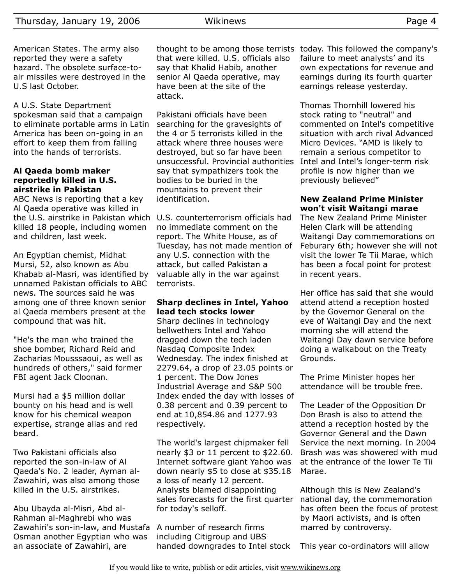American States. The army also reported they were a safety hazard. The obsolete surface-toair missiles were destroyed in the U.S last October.

A U.S. State Department spokesman said that a campaign to eliminate portable arms in Latin America has been on-going in an effort to keep them from falling into the hands of terrorists.

#### **Al Qaeda bomb maker reportedly killed in U.S. airstrike in Pakistan**

ABC News is reporting that a key Al Qaeda operative was killed in the U.S. airstrike in Pakistan which killed 18 people, including women and children, last week.

An Egyptian chemist, Midhat Mursi, 52, also known as Abu Khabab al-Masri, was identified by unnamed Pakistan officials to ABC news. The sources said he was among one of three known senior al Qaeda members present at the compound that was hit.

"He's the man who trained the shoe bomber, Richard Reid and Zacharias Mousssaoui, as well as hundreds of others," said former FBI agent Jack Cloonan.

Mursi had a \$5 million dollar bounty on his head and is well know for his chemical weapon expertise, strange alias and red beard.

Two Pakistani officials also reported the son-in-law of Al Qaeda's No. 2 leader, Ayman al-Zawahiri, was also among those killed in the U.S. airstrikes.

Abu Ubayda al-Misri, Abd al-Rahman al-Maghrebi who was Zawahiri's son-in-law, and Mustafa Osman another Egyptian who was an associate of Zawahiri, are

that were killed. U.S. officials also say that Khalid Habib, another senior Al Qaeda operative, may have been at the site of the attack.

Pakistani officials have been searching for the gravesights of the 4 or 5 terrorists killed in the attack where three houses were destroyed, but so far have been unsuccessful. Provincial authorities say that sympathizers took the bodies to be buried in the mountains to prevent their identification.

U.S. counterterrorism officials had no immediate comment on the report. The White House, as of Tuesday, has not made mention of any U.S. connection with the attack, but called Pakistan a valuable ally in the war against terrorists.

## **Sharp declines in Intel, Yahoo lead tech stocks lower**

Sharp declines in technology bellwethers Intel and Yahoo dragged down the tech laden Nasdaq Composite Index Wednesday. The index finished at 2279.64, a drop of 23.05 points or 1 percent. The Dow Jones Industrial Average and S&P 500 Index ended the day with losses of 0.38 percent and 0.39 percent to end at 10,854.86 and 1277.93 respectively.

The world's largest chipmaker fell nearly \$3 or 11 percent to \$22.60. Internet software giant Yahoo was down nearly \$5 to close at \$35.18 a loss of nearly 12 percent. Analysts blamed disappointing sales forecasts for the first quarter for today's selloff.

A number of research firms including Citigroup and UBS handed downgrades to Intel stock

thought to be among those terrists today. This followed the company's failure to meet analysts' and its own expectations for revenue and earnings during its fourth quarter earnings release yesterday.

> Thomas Thornhill lowered his stock rating to "neutral" and commented on Intel's competitive situation with arch rival Advanced Micro Devices. "AMD is likely to remain a serious competitor to Intel and Intel's longer-term risk profile is now higher than we previously believed"

## **New Zealand Prime Minister won't visit Waitangi marae**

The New Zealand Prime Minister Helen Clark will be attending Waitangi Day commemorations on Feburary 6th; however she will not visit the lower Te Tii Marae, which has been a focal point for protest in recent years.

Her office has said that she would attend attend a reception hosted by the Governor General on the eve of Waitangi Day and the next morning she will attend the Waitangi Day dawn service before doing a walkabout on the Treaty Grounds.

The Prime Minister hopes her attendance will be trouble free.

The Leader of the Opposition Dr Don Brash is also to attend the attend a reception hosted by the Governor General and the Dawn Service the next morning. In 2004 Brash was was showered with mud at the entrance of the lower Te Tii Marae.

Although this is New Zealand's national day, the commemoration has often been the focus of protest by Maori activists, and is often marred by controversy.

This year co-ordinators will allow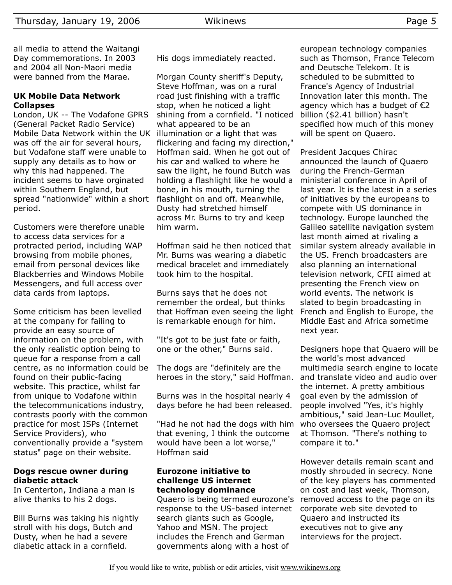all media to attend the Waitangi Day commemorations. In 2003 and 2004 all Non-Maori media were banned from the Marae.

#### **UK Mobile Data Network Collapses**

London, UK -- The Vodafone GPRS (General Packet Radio Service) Mobile Data Network within the UK was off the air for several hours, but Vodafone staff were unable to supply any details as to how or why this had happened. The incident seems to have orginated within Southern England, but spread "nationwide" within a short period.

Customers were therefore unable to access data services for a protracted period, including WAP browsing from mobile phones, email from personal devices like Blackberries and Windows Mobile Messengers, and full access over data cards from laptops.

Some criticism has been levelled at the company for failing to provide an easy source of information on the problem, with the only realistic option being to queue for a response from a call centre, as no information could be found on their public-facing website. This practice, whilst far from unique to Vodafone within the telecommunications industry, contrasts poorly with the common practice for most ISPs (Internet Service Providers), who conventionally provide a "system status" page on their website.

#### **Dogs rescue owner during diabetic attack**

In Centerton, Indiana a man is alive thanks to his 2 dogs.

Bill Burns was taking his nightly stroll with his dogs, Butch and Dusty, when he had a severe diabetic attack in a cornfield.

His dogs immediately reacted.

Morgan County sheriff's Deputy, Steve Hoffman, was on a rural road just finishing with a traffic stop, when he noticed a light shining from a cornfield. "I noticed what appeared to be an illumination or a light that was flickering and facing my direction," Hoffman said. When he got out of his car and walked to where he saw the light, he found Butch was holding a flashlight like he would a bone, in his mouth, turning the flashlight on and off. Meanwhile, Dusty had stretched himself across Mr. Burns to try and keep him warm.

Hoffman said he then noticed that Mr. Burns was wearing a diabetic medical bracelet and immediately took him to the hospital.

Burns says that he does not remember the ordeal, but thinks that Hoffman even seeing the light is remarkable enough for him.

"It's got to be just fate or faith, one or the other," Burns said.

The dogs are "definitely are the heroes in the story," said Hoffman.

Burns was in the hospital nearly 4 days before he had been released.

"Had he not had the dogs with him that evening, I think the outcome would have been a lot worse," Hoffman said

#### **Eurozone initiative to challenge US internet technology dominance**

Quaero is being termed eurozone's response to the US-based internet search giants such as Google, Yahoo and MSN. The project includes the French and German governments along with a host of

european technology companies such as Thomson, France Telecom and Deutsche Telekom. It is scheduled to be submitted to France's Agency of Industrial Innovation later this month. The agency which has a budget of  $E$ 2 billion (\$2.41 billion) hasn't specified how much of this money will be spent on Quaero.

President Jacques Chirac announced the launch of Quaero during the French-German ministerial conference in April of last year. It is the latest in a series of initiatives by the europeans to compete with US dominance in technology. Europe launched the Galileo satellite navigation system last month aimed at rivaling a similar system already available in the US. French broadcasters are also planning an international television network, CFII aimed at presenting the French view on world events. The network is slated to begin broadcasting in French and English to Europe, the Middle East and Africa sometime next year.

Designers hope that Quaero will be the world's most advanced multimedia search engine to locate and translate video and audio over the internet. A pretty ambitious goal even by the admission of people involved "Yes, it's highly ambitious," said Jean-Luc Moullet, who oversees the Quaero project at Thomson. "There's nothing to compare it to."

However details remain scant and mostly shrouded in secrecy. None of the key players has commented on cost and last week, Thomson, removed access to the page on its corporate web site devoted to Quaero and instructed its executives not to give any interviews for the project.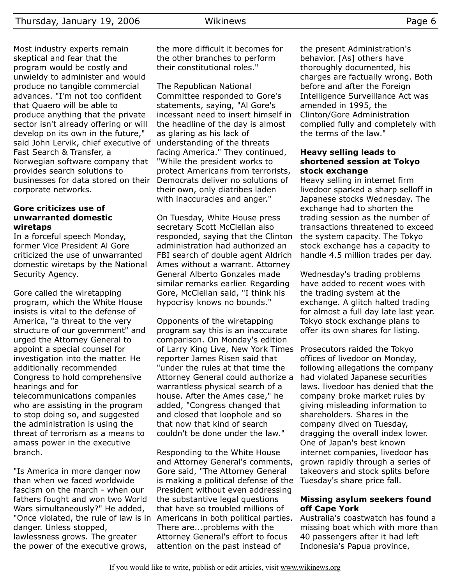Most industry experts remain skeptical and fear that the program would be costly and unwieldy to administer and would produce no tangible commercial advances. "I'm not too confident that Quaero will be able to produce anything that the private sector isn't already offering or will develop on its own in the future," said John Lervik, chief executive of understanding of the threats Fast Search & Transfer, a Norwegian software company that provides search solutions to businesses for data stored on their corporate networks.

#### **Gore criticizes use of unwarranted domestic wiretaps**

In a forceful speech Monday, former Vice President Al Gore criticized the use of unwarranted domestic wiretaps by the National Security Agency.

Gore called the wiretapping program, which the White House insists is vital to the defense of America, "a threat to the very structure of our government" and urged the Attorney General to appoint a special counsel for investigation into the matter. He additionally recommended Congress to hold comprehensive hearings and for telecommunications companies who are assisting in the program to stop doing so, and suggested the administration is using the threat of terrorism as a means to amass power in the executive branch.

"Is America in more danger now than when we faced worldwide fascism on the march - when our fathers fought and won two World Wars simultaneously?" He added, "Once violated, the rule of law is in Americans in both political parties. danger. Unless stopped, lawlessness grows. The greater the power of the executive grows,

the more difficult it becomes for the other branches to perform their constitutional roles."

The Republican National Committee responded to Gore's statements, saying, "Al Gore's incessant need to insert himself in the headline of the day is almost as glaring as his lack of facing America." They continued, "While the president works to protect Americans from terrorists, Democrats deliver no solutions of their own, only diatribes laden with inaccuracies and anger."

On Tuesday, White House press secretary Scott McClellan also responded, saying that the Clinton administration had authorized an FBI search of double agent Aldrich Ames without a warrant. Attorney General Alberto Gonzales made similar remarks earlier. Regarding Gore, McClellan said, "I think his hypocrisy knows no bounds."

Opponents of the wiretapping program say this is an inaccurate comparison. On Monday's edition of Larry King Live, New York Times reporter James Risen said that "under the rules at that time the Attorney General could authorize a warrantless physical search of a house. After the Ames case," he added, "Congress changed that and closed that loophole and so that now that kind of search couldn't be done under the law."

Responding to the White House and Attorney General's comments, Gore said, "The Attorney General is making a political defense of the Tuesday's share price fall. President without even addressing the substantive legal questions that have so troubled millions of There are...problems with the Attorney General's effort to focus attention on the past instead of

the present Administration's behavior. [As] others have thoroughly documented, his charges are factually wrong. Both before and after the Foreign Intelligence Surveillance Act was amended in 1995, the Clinton/Gore Administration complied fully and completely with the terms of the law."

### **Heavy selling leads to shortened session at Tokyo stock exchange**

Heavy selling in internet firm livedoor sparked a sharp selloff in Japanese stocks Wednesday. The exchange had to shorten the trading session as the number of transactions threatened to exceed the system capacity. The Tokyo stock exchange has a capacity to handle 4.5 million trades per day.

Wednesday's trading problems have added to recent woes with the trading system at the exchange. A glitch halted trading for almost a full day late last year. Tokyo stock exchange plans to offer its own shares for listing.

Prosecutors raided the Tokyo offices of livedoor on Monday, following allegations the company had violated Japanese securities laws. livedoor has denied that the company broke market rules by giving misleading information to shareholders. Shares in the company dived on Tuesday, dragging the overall index lower. One of Japan's best known internet companies, livedoor has grown rapidly through a series of takeovers and stock splits before

## **Missing asylum seekers found off Cape York**

Australia's coastwatch has found a missing boat which with more than 40 passengers after it had left Indonesia's Papua province,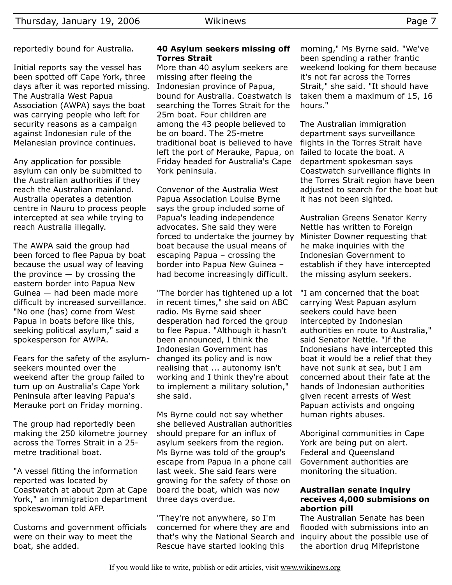reportedly bound for Australia.

Initial reports say the vessel has been spotted off Cape York, three days after it was reported missing. The Australia West Papua Association (AWPA) says the boat was carrying people who left for security reasons as a campaign against Indonesian rule of the Melanesian province continues.

Any application for possible asylum can only be submitted to the Australian authorities if they reach the Australian mainland. Australia operates a detention centre in Nauru to process people intercepted at sea while trying to reach Australia illegally.

The AWPA said the group had been forced to flee Papua by boat because the usual way of leaving the province  $-$  by crossing the eastern border into Papua New Guinea — had been made more difficult by increased surveillance. "No one (has) come from West Papua in boats before like this, seeking political asylum," said a spokesperson for AWPA.

Fears for the safety of the asylumseekers mounted over the weekend after the group failed to turn up on Australia's Cape York Peninsula after leaving Papua's Merauke port on Friday morning.

The group had reportedly been making the 250 kilometre journey across the Torres Strait in a 25 metre traditional boat.

"A vessel fitting the information reported was located by Coastwatch at about 2pm at Cape York," an immigration department spokeswoman told AFP.

Customs and government officials were on their way to meet the boat, she added.

#### **40 Asylum seekers missing off Torres Strait**

More than 40 asylum seekers are missing after fleeing the Indonesian province of Papua, bound for Australia. Coastwatch is searching the Torres Strait for the 25m boat. Four children are among the 43 people believed to be on board. The 25-metre traditional boat is believed to have left the port of Merauke, Papua, on Friday headed for Australia's Cape York peninsula.

Convenor of the Australia West Papua Association Louise Byrne says the group included some of Papua's leading independence advocates. She said they were forced to undertake the journey by boat because the usual means of escaping Papua – crossing the border into Papua New Guinea – had become increasingly difficult.

"The border has tightened up a lot in recent times," she said on ABC radio. Ms Byrne said sheer desperation had forced the group to flee Papua. "Although it hasn't been announced, I think the Indonesian Government has changed its policy and is now realising that ... autonomy isn't working and I think they're about to implement a military solution," she said.

Ms Byrne could not say whether she believed Australian authorities should prepare for an influx of asylum seekers from the region. Ms Byrne was told of the group's escape from Papua in a phone call last week. She said fears were growing for the safety of those on board the boat, which was now three days overdue.

"They're not anywhere, so I'm concerned for where they are and that's why the National Search and Rescue have started looking this

morning," Ms Byrne said. "We've been spending a rather frantic weekend looking for them because it's not far across the Torres Strait," she said. "It should have taken them a maximum of 15, 16 hours."

The Australian immigration department says surveillance flights in the Torres Strait have failed to locate the boat. A department spokesman says Coastwatch surveillance flights in the Torres Strait region have been adjusted to search for the boat but it has not been sighted.

Australian Greens Senator Kerry Nettle has written to Foreign Minister Downer requesting that he make inquiries with the Indonesian Government to establish if they have intercepted the missing asylum seekers.

"I am concerned that the boat carrying West Papuan asylum seekers could have been intercepted by Indonesian authorities en route to Australia," said Senator Nettle. "If the Indonesians have intercepted this boat it would be a relief that they have not sunk at sea, but I am concerned about their fate at the hands of Indonesian authorities given recent arrests of West Papuan activists and ongoing human rights abuses.

Aboriginal communities in Cape York are being put on alert. Federal and Queensland Government authorities are monitoring the situation.

## **Australian senate inquiry receives 4,000 submisions on abortion pill**

The Australian Senate has been flooded with submissions into an inquiry about the possible use of the abortion drug Mifepristone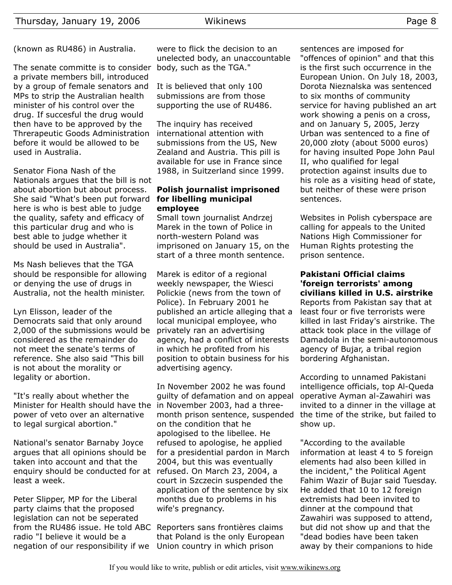(known as RU486) in Australia.

The senate committe is to consider body, such as the TGA." a private members bill, introduced by a group of female senators and MPs to strip the Australian health minister of his control over the drug. If succesful the drug would then have to be approved by the Threrapeutic Goods Administration before it would be allowed to be used in Australia.

Senator Fiona Nash of the Nationals argues that the bill is not about abortion but about process. She said "What's been put forward here is who is best able to judge the quality, safety and efficacy of this particular drug and who is best able to judge whether it should be used in Australia".

Ms Nash believes that the TGA should be responsible for allowing or denying the use of drugs in Australia, not the health minister.

Lyn Elisson, leader of the Democrats said that only around 2,000 of the submissions would be privately ran an advertising considered as the remainder do not meet the senate's terms of reference. She also said "This bill is not about the morality or legality or abortion.

"It's really about whether the Minister for Health should have the power of veto over an alternative to legal surgical abortion."

National's senator Barnaby Joyce argues that all opinions should be taken into account and that the enquiry should be conducted for at refused. On March 23, 2004, a least a week.

Peter Slipper, MP for the Liberal party claims that the proposed legislation can not be seperated from the RU486 issue. He told ABC Reporters sans frontières claims radio "I believe it would be a negation of our responsibility if we Union country in which prison

were to flick the decision to an unelected body, an unaccountable

It is believed that only 100 submissions are from those supporting the use of RU486.

The inquiry has received international attention with submissions from the US, New Zealand and Austria. This pill is available for use in France since 1988, in Suitzerland since 1999.

#### **Polish journalist imprisoned for libelling municipal employee**

Small town journalist Andrzej Marek in the town of Police in north-western Poland was imprisoned on January 15, on the start of a three month sentence.

Marek is editor of a regional weekly newspaper, the Wiesci Polickie (news from the town of Police). In February 2001 he published an article alleging that a local municipal employee, who agency, had a conflict of interests in which he profited from his position to obtain business for his advertising agency.

In November 2002 he was found guilty of defamation and on appeal in November 2003, had a threemonth prison sentence, suspended on the condition that he apologised to the libellee. He refused to apologise, he applied for a presidential pardon in March 2004, but this was eventually court in Szczecin suspended the application of the sentence by six months due to problems in his wife's pregnancy.

that Poland is the only European

sentences are imposed for "offences of opinion" and that this is the first such occurrence in the European Union. On July 18, 2003, Dorota Nieznalska was sentenced to six months of community service for having published an art work showing a penis on a cross, and on January 5, 2005, Jerzy Urban was sentenced to a fine of 20,000 złoty (about 5000 euros) for having insulted Pope John Paul II, who qualified for legal protection against insults due to his role as a visiting head of state, but neither of these were prison sentences.

Websites in Polish cyberspace are calling for appeals to the United Nations High Commissioner for Human Rights protesting the prison sentence.

**Pakistani Official claims 'foreign terrorists' among civilians killed in U.S. airstrike** Reports from Pakistan say that at least four or five terrorists were killed in last Friday's airstrike. The attack took place in the village of Damadola in the semi-autonomous agency of Bujar, a tribal region bordering Afghanistan.

According to unnamed Pakistani intelligence officials, top Al-Queda operative Ayman al-Zawahiri was invited to a dinner in the village at the time of the strike, but failed to show up.

"According to the available information at least 4 to 5 foreign elements had also been killed in the incident," the Political Agent Fahim Wazir of Bujar said Tuesday. He added that 10 to 12 foreign extremists had been invited to dinner at the compound that Zawahiri was supposed to attend, but did not show up and that the "dead bodies have been taken away by their companions to hide